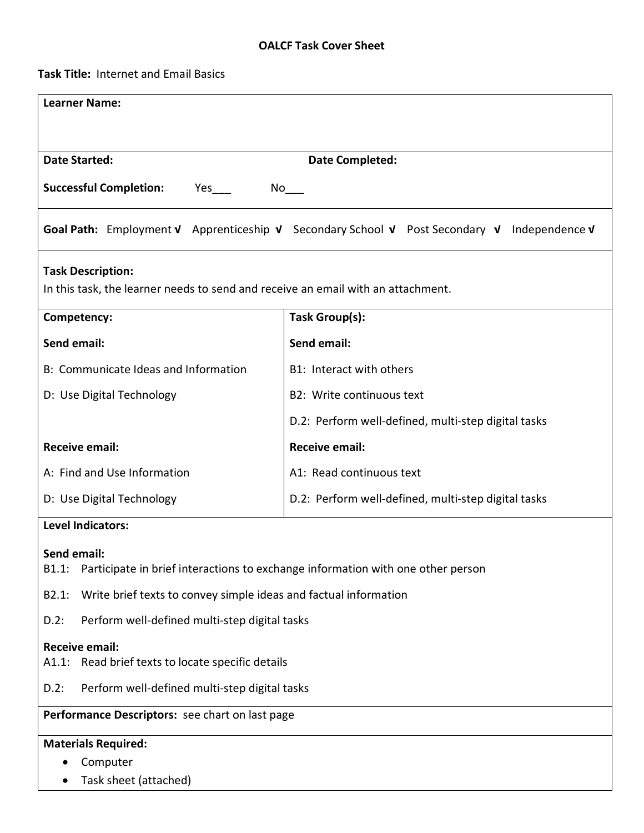## **OALCF Task Cover Sheet**

**Task Title:** Internet and Email Basics

| <b>Learner Name:</b>                                                                                         |                                                     |  |  |  |
|--------------------------------------------------------------------------------------------------------------|-----------------------------------------------------|--|--|--|
|                                                                                                              |                                                     |  |  |  |
|                                                                                                              |                                                     |  |  |  |
| <b>Date Started:</b>                                                                                         | <b>Date Completed:</b>                              |  |  |  |
| <b>Successful Completion:</b><br>Yes $\overline{\phantom{a}}$<br>No r                                        |                                                     |  |  |  |
| Goal Path: Employment V Apprenticeship V Secondary School V Post Secondary V                                 | Independence $\boldsymbol{\nu}$                     |  |  |  |
| <b>Task Description:</b><br>In this task, the learner needs to send and receive an email with an attachment. |                                                     |  |  |  |
| Competency:                                                                                                  | Task Group(s):                                      |  |  |  |
| <b>Send email:</b>                                                                                           | <b>Send email:</b>                                  |  |  |  |
| B: Communicate Ideas and Information                                                                         | B1: Interact with others                            |  |  |  |
| D: Use Digital Technology                                                                                    | B2: Write continuous text                           |  |  |  |
|                                                                                                              | D.2: Perform well-defined, multi-step digital tasks |  |  |  |
| <b>Receive email:</b>                                                                                        | <b>Receive email:</b>                               |  |  |  |
| A: Find and Use Information                                                                                  | A1: Read continuous text                            |  |  |  |
| D: Use Digital Technology                                                                                    | D.2: Perform well-defined, multi-step digital tasks |  |  |  |
| <b>Level Indicators:</b>                                                                                     |                                                     |  |  |  |
| Send email:<br>Participate in brief interactions to exchange information with one other person<br>B1.1:      |                                                     |  |  |  |
| Write brief texts to convey simple ideas and factual information<br>B2.1:                                    |                                                     |  |  |  |
| Perform well-defined multi-step digital tasks<br>$D.2$ :                                                     |                                                     |  |  |  |
| <b>Receive email:</b><br>Read brief texts to locate specific details<br>A1.1:                                |                                                     |  |  |  |
| Perform well-defined multi-step digital tasks<br>$D.2$ :                                                     |                                                     |  |  |  |
| Performance Descriptors: see chart on last page                                                              |                                                     |  |  |  |
| <b>Materials Required:</b>                                                                                   |                                                     |  |  |  |
| Computer<br>$\bullet$                                                                                        |                                                     |  |  |  |
| Task sheet (attached)<br>$\bullet$                                                                           |                                                     |  |  |  |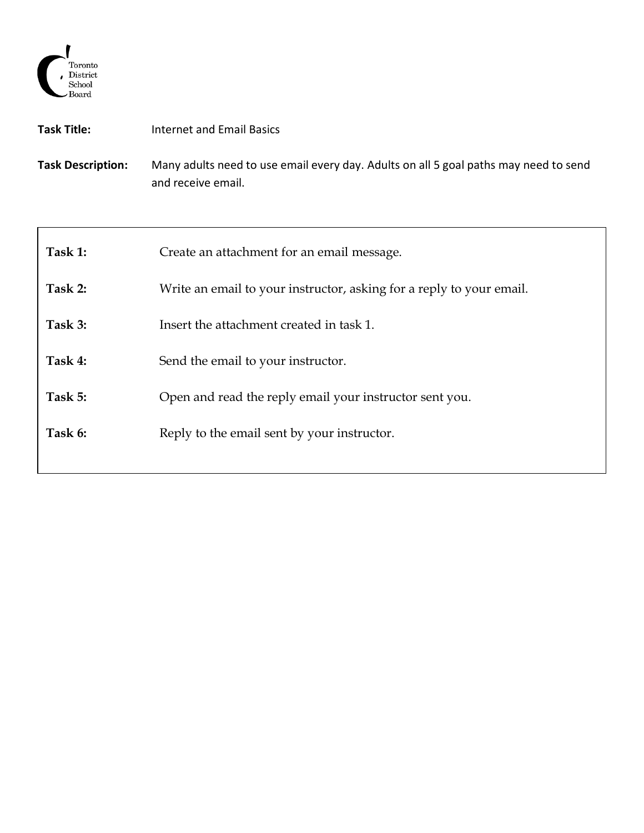

| Task Title:              | Internet and Email Basics                                                                                  |
|--------------------------|------------------------------------------------------------------------------------------------------------|
| <b>Task Description:</b> | Many adults need to use email every day. Adults on all 5 goal paths may need to send<br>and receive email. |

| Task 1: | Create an attachment for an email message.                           |
|---------|----------------------------------------------------------------------|
| Task 2: | Write an email to your instructor, asking for a reply to your email. |
| Task 3: | Insert the attachment created in task 1.                             |
| Task 4: | Send the email to your instructor.                                   |
| Task 5: | Open and read the reply email your instructor sent you.              |
| Task 6: | Reply to the email sent by your instructor.                          |
|         |                                                                      |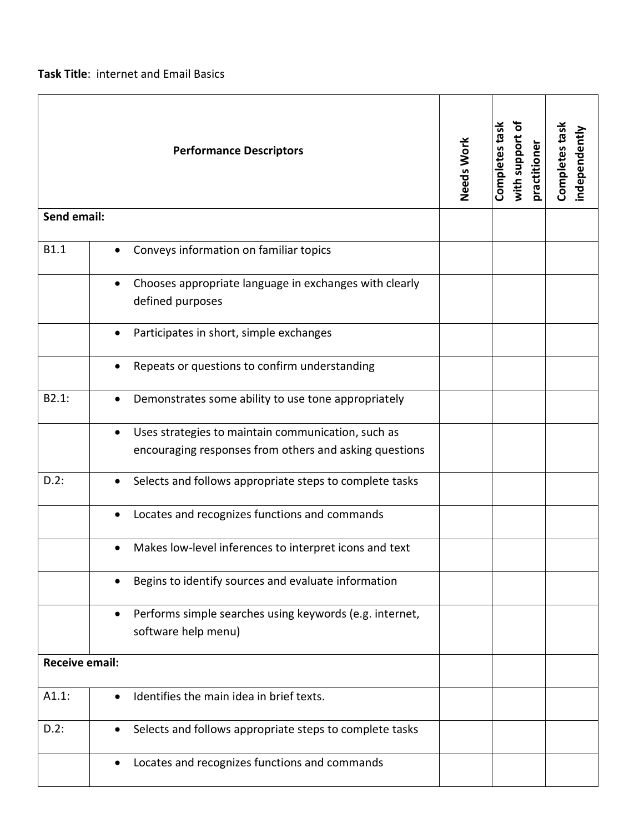**Task Title**: internet and Email Basics

| <b>Performance Descriptors</b><br>Send email: |                                                                                                                           | Needs Work | Completes task<br>ō<br>with support<br>practitioner | Completes task<br>independently |
|-----------------------------------------------|---------------------------------------------------------------------------------------------------------------------------|------------|-----------------------------------------------------|---------------------------------|
|                                               |                                                                                                                           |            |                                                     |                                 |
| <b>B1.1</b>                                   | Conveys information on familiar topics<br>$\bullet$                                                                       |            |                                                     |                                 |
|                                               | Chooses appropriate language in exchanges with clearly<br>defined purposes                                                |            |                                                     |                                 |
|                                               | Participates in short, simple exchanges<br>$\bullet$                                                                      |            |                                                     |                                 |
|                                               | Repeats or questions to confirm understanding                                                                             |            |                                                     |                                 |
| B2.1:                                         | Demonstrates some ability to use tone appropriately                                                                       |            |                                                     |                                 |
|                                               | Uses strategies to maintain communication, such as<br>$\bullet$<br>encouraging responses from others and asking questions |            |                                                     |                                 |
| $D.2$ :                                       | Selects and follows appropriate steps to complete tasks                                                                   |            |                                                     |                                 |
|                                               | Locates and recognizes functions and commands                                                                             |            |                                                     |                                 |
|                                               | Makes low-level inferences to interpret icons and text                                                                    |            |                                                     |                                 |
|                                               | Begins to identify sources and evaluate information                                                                       |            |                                                     |                                 |
|                                               | Performs simple searches using keywords (e.g. internet,<br>software help menu)                                            |            |                                                     |                                 |
| <b>Receive email:</b>                         |                                                                                                                           |            |                                                     |                                 |
| A1.1:                                         | Identifies the main idea in brief texts.                                                                                  |            |                                                     |                                 |
| $D.2$ :                                       | Selects and follows appropriate steps to complete tasks                                                                   |            |                                                     |                                 |
|                                               | Locates and recognizes functions and commands                                                                             |            |                                                     |                                 |